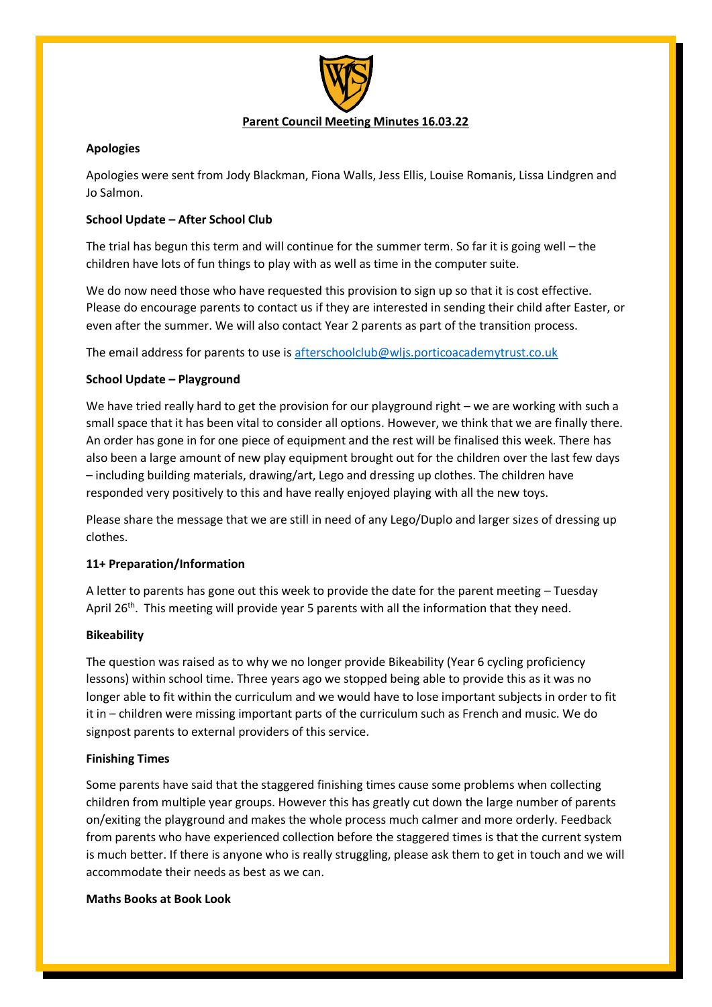

# **Apologies**

Apologies were sent from Jody Blackman, Fiona Walls, Jess Ellis, Louise Romanis, Lissa Lindgren and Jo Salmon.

# **School Update – After School Club**

The trial has begun this term and will continue for the summer term. So far it is going well – the children have lots of fun things to play with as well as time in the computer suite.

We do now need those who have requested this provision to sign up so that it is cost effective. Please do encourage parents to contact us if they are interested in sending their child after Easter, or even after the summer. We will also contact Year 2 parents as part of the transition process.

The email address for parents to use is [afterschoolclub@wljs.porticoacademytrust.co.uk](mailto:afterschoolclub@wljs.porticoacademytrust.co.uk)

# **School Update – Playground**

We have tried really hard to get the provision for our playground right – we are working with such a small space that it has been vital to consider all options. However, we think that we are finally there. An order has gone in for one piece of equipment and the rest will be finalised this week. There has also been a large amount of new play equipment brought out for the children over the last few days – including building materials, drawing/art, Lego and dressing up clothes. The children have responded very positively to this and have really enjoyed playing with all the new toys.

Please share the message that we are still in need of any Lego/Duplo and larger sizes of dressing up clothes.

## **11+ Preparation/Information**

A letter to parents has gone out this week to provide the date for the parent meeting – Tuesday April 26<sup>th</sup>. This meeting will provide year 5 parents with all the information that they need.

## **Bikeability**

The question was raised as to why we no longer provide Bikeability (Year 6 cycling proficiency lessons) within school time. Three years ago we stopped being able to provide this as it was no longer able to fit within the curriculum and we would have to lose important subjects in order to fit it in – children were missing important parts of the curriculum such as French and music. We do signpost parents to external providers of this service.

## **Finishing Times**

Some parents have said that the staggered finishing times cause some problems when collecting children from multiple year groups. However this has greatly cut down the large number of parents on/exiting the playground and makes the whole process much calmer and more orderly. Feedback from parents who have experienced collection before the staggered times is that the current system is much better. If there is anyone who is really struggling, please ask them to get in touch and we will accommodate their needs as best as we can.

**Maths Books at Book Look**